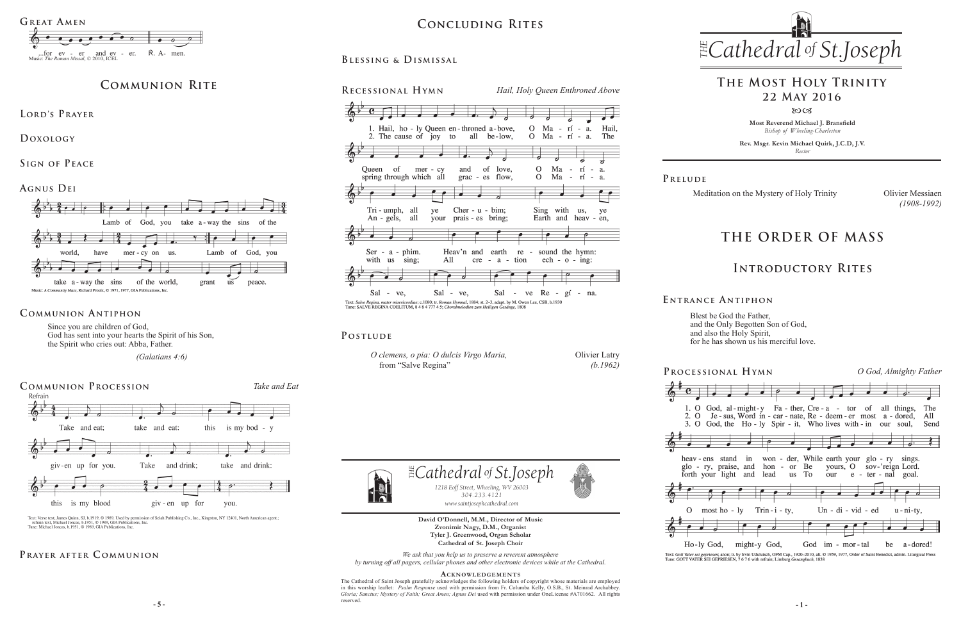**Most Reverend Michael J. Bransfield** *Bishop of Wheeling-Charleston*

**Rev. Msgr. Kevin Michael Quirk, J.C.D, J.V.** *Rector*

Meditation on the Mystery of Holy Trinity Olivier Messiaen



Blest be God the Father, and the Only Begotten Son of God, and also the Holy Spirit, for he has shown us his merciful love.

**David O'Donnell, M.M., Director of Music Zvonimir Nagy, D.M., Organist Tyler J. Greenwood, Organ Scholar Cathedral of St. Joseph Choir**

*We ask that you help us to preserve a reverent atmosphere by turning off all pagers, cellular phones and other electronic devices while at the Cathedral.*

**- 5 - - 1 -** The Cathedral of Saint Joseph gratefully acknowledges the following holders of copyright whose materials are employed in this worship leaflet: *Psalm Response* used with permission from Fr. Columba Kelly, O.S.B., St. Meinrad Archabbey. *Gloria; Sanctus; Mystery of Faith; Great Amen; Agnus Dei* used with permission under OneLicense #A701662.All rights reserved.



#### **Acknowledgement s**

#### $\exists$  *Cathedral* of *St.Joseph 1218 Eoff Street, Wheeling, WV 26003 304.233.4121 304.233.4121 www.saintjosephcathedral.com www.saintjosephcathedral.com*

# *Cathedral St THE of .Joseph* **Concluding Rites**

Since you are children of God, God has sent into your hearts the Spirit of his Son, the Spirit who cries out: Abba, Father.

 *(Galatians 4:6)*

# **THE ORDER OF MASS**





Text: Gott Vater sei gepriesen; anon; tr. by Irvin Udulutsch, OFM Cap., 1920-2010, alt. @ 1959, 1977, Order of Saint Benedict, admin. Liturgical Press<br>Tune: GOTT VATER SEI GEPRIESEN, 7676 with refrain; Limburg Gesangbuch,

**E ntrance A ntiphon**

## **Introductory Rites**

# **The Most Holy Trinity 22 May 2016**

 $80C<sub>3</sub>$ 

# **Communion Rite**

**Agnus Dei**



#### **Communion Antiphon**

## **Prayer after C ommunion**





Text: Verse text, James Quinn, SJ, b.1919, © 1989. Used by permission of Selah Publishing Co., Inc., Kingston, NY 12401, North American agent.;<br>refrain text, Michael Joncas, b.1951, © 1989, GIA Publications, Inc.<br>Tune: Mic

**Lord's Prayer**

**Doxology** 

**Sign of Peace** 



#### POSTLUDE



| O clemens, o pia: O dulcis Virgo Maria, |  |
|-----------------------------------------|--|
| from "Salve Regina"                     |  |



Olivier Latry *(b.1962)*

*(1908-1992)*